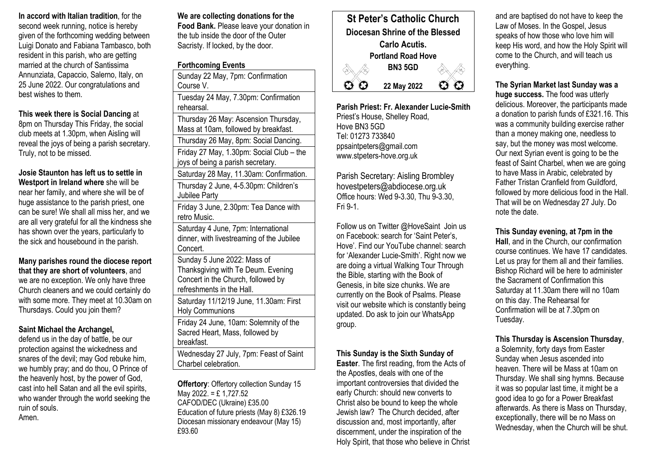**In accord with Italian tradition**, for the second week running, notice is hereby given of the forthcoming wedding between Luigi Donato and Fabiana Tambasco, both resident in this parish, who are getting married at the church of Santissima Annunziata, Capaccio, Salerno, Italy, on 25 June 2022. Our congratulations and best wishes to them.

**This week there is Social Dancing** at 8pm on Thursday This Friday, the social club meets at 1.30pm, when Aisling will reveal the joys of being a parish secretary. Truly, not to be missed.

**Josie Staunton has left us to settle in Westport in Ireland where** she will be near her family, and where she will be of huge assistance to the parish priest, one can be sure! We shall all miss her, and we are all very grateful for all the kindness she has shown over the years, particularly to the sick and housebound in the parish.

**Many parishes round the diocese report that they are short of volunteers**, and we are no exception. We only have three Church cleaners and we could certainly do with some more. They meet at 10.30am on Thursdays. Could you join them?

## **Saint Michael the Archangel,**

defend us in the day of battle, be our protection against the wickedness and snares of the devil; may God rebuke him, we humbly pray; and do thou, O Prince of the heavenly host, by the power of God, cast into hell Satan and all the evil spirits, who wander through the world seeking the ruin of souls. Amen.

**We are collecting donations for the Food Bank.** Please leave your donation in the tub inside the door of the Outer Sacristy. If locked, by the door.

## **Forthcoming Events**

Sunday 22 May, 7pm: Confirmation Course V. Tuesday 24 May, 7.30pm: Confirmation rehearsal. Thursday 26 May: Ascension Thursday, Mass at 10am, followed by breakfast. Thursday 26 May, 8pm: Social Dancing. Friday 27 May, 1.30pm: Social Club – the joys of being a parish secretary. Saturday 28 May, 11.30am: Confirmation. Thursday 2 June, 4-5.30pm: Children's Jubilee Party Friday 3 June, 2.30pm: Tea Dance with retro Music. Saturday 4 June, 7pm: International dinner, with livestreaming of the Jubilee Concert. Sunday 5 June 2022: Mass of Thanksgiving with Te Deum. Evening Concert in the Church, followed by refreshments in the Hall. Saturday 11/12/19 June, 11.30am: First Holy Communions Friday 24 June, 10am: Solemnity of the Sacred Heart, Mass, followed by breakfast. Wednesday 27 July, 7pm: Feast of Saint Charbel celebration.

**Offertory**: Offertory collection Sunday 15 May 2022. = £ 1,727.52 CAFOD/DEC (Ukraine) £35.00 Education of future priests (May 8) £326.19 Diocesan missionary endeavour (May 15) £93.60



**Parish Priest: Fr. Alexander Lucie-Smith** Priest's House, Shelley Road, Hove BN3 5GD Tel: 01273 733840 ppsaintpeters@gmail.com www.stpeters-hove.org.uk

Parish Secretary: Aisling Brombley hovestpeters@abdiocese.org.uk Office hours: Wed 9-3.30, Thu 9-3.30, Fri 9-1.

Follow us on Twitter @HoveSaint Join us on Facebook: search for 'Saint Peter's, Hove'. Find our YouTube channel: search for 'Alexander Lucie-Smith'. Right now we are doing a virtual Walking Tour Through the Bible, starting with the Book of Genesis, in bite size chunks. We are currently on the Book of Psalms. Please visit our website which is constantly being updated. Do ask to join our WhatsApp group.

# **This Sunday is the Sixth Sunday of**

**Easter**. The first reading, from the Acts of the Apostles, deals with one of the important controversies that divided the early Church: should new converts to Christ also be bound to keep the whole Jewish law? The Church decided, after discussion and, most importantly, after discernment, under the inspiration of the Holy Spirit, that those who believe in Christ

and are baptised do not have to keep the Law of Moses. In the Gospel, Jesus speaks of how those who love him will keep His word, and how the Holy Spirit will come to the Church, and will teach us everything.

**The Syrian Market last Sunday was a huge success.** The food was utterly delicious. Moreover, the participants made a donation to parish funds of £321.16. This was a community building exercise rather than a money making one, needless to say, but the money was most welcome. Our next Syrian event is going to be the feast of Saint Charbel, when we are going to have Mass in Arabic, celebrated by Father Tristan Cranfield from Guildford, followed by more delicious food in the Hall. That will be on Wednesday 27 July. Do note the date.

### **This Sunday evening, at 7pm in the**

**Hall**, and in the Church, our confirmation course continues. We have 17 candidates. Let us pray for them all and their families. Bishop Richard will be here to administer the Sacrament of Confirmation this Saturday at 11.30am there will no 10am on this day. The Rehearsal for Confirmation will be at 7.30pm on Tuesday.

# **This Thursday is Ascension Thursday**,

a Solemnity, forty days from Easter Sunday when Jesus ascended into heaven. There will be Mass at 10am on Thursday. We shall sing hymns. Because it was so popular last time, it might be a good idea to go for a Power Breakfast afterwards. As there is Mass on Thursday, exceptionally, there will be no Mass on Wednesday, when the Church will be shut.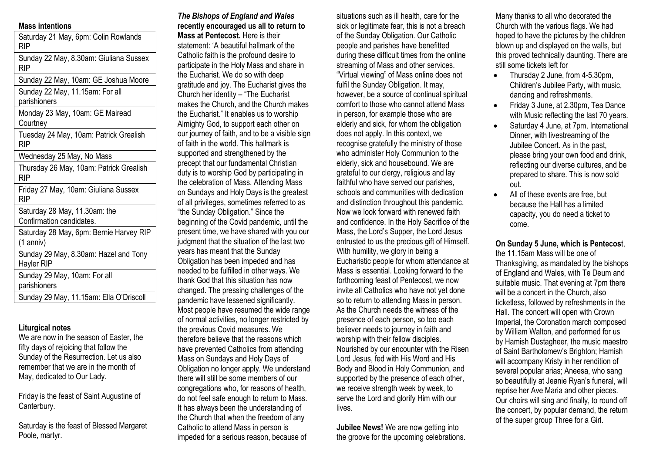### **Mass intentions**

Saturday 21 May, 6pm: Colin Rowlands RIP Sunday 22 May, 8.30am: Giuliana Sussex RIP Sunday 22 May, 10am: GE Joshua Moore Sunday 22 May, 11.15am: For all parishioners Monday 23 May, 10am: GE Mairead **Courtney** Tuesday 24 May, 10am: Patrick Grealish RIP Wednesday 25 May, No Mass Thursday 26 May, 10am: Patrick Grealish RIP Friday 27 May, 10am: Giuliana Sussex RIP Saturday 28 May, 11.30am: the Confirmation candidates. Saturday 28 May, 6pm: Bernie Harvey RIP (1 anniv) Sunday 29 May, 8.30am: Hazel and Tony Hayler RIP Sunday 29 May, 10am: For all parishioners Sunday 29 May, 11.15am: Ella O'Driscoll

### **Liturgical notes**

We are now in the season of Easter, the fifty days of rejoicing that follow the Sunday of the Resurrection. Let us also remember that we are in the month of May, dedicated to Our Lady.

Friday is the feast of Saint Augustine of Canterbury.

Saturday is the feast of Blessed Margaret Poole, martyr.

## *The Bishops of England and Wales* **recently encouraged us all to return to Mass at Pentecost.** Here is their statement: 'A beautiful hallmark of the Catholic faith is the profound desire to participate in the Holy Mass and share in the Eucharist. We do so with deep gratitude and joy. The Eucharist gives the Church her identity – "The Eucharist makes the Church, and the Church makes the Eucharist." It enables us to worship Almighty God, to support each other on our journey of faith, and to be a visible sign of faith in the world. This hallmark is supported and strengthened by the precept that our fundamental Christian

duty is to worship God by participating in the celebration of Mass. Attending Mass on Sundays and Holy Days is the greatest of all privileges, sometimes referred to as "the Sunday Obligation." Since the beginning of the Covid pandemic, until the present time, we have shared with you our judgment that the situation of the last two years has meant that the Sunday Obligation has been impeded and has needed to be fulfilled in other ways. We thank God that this situation has now changed. The pressing challenges of the pandemic have lessened significantly. Most people have resumed the wide range of normal activities, no longer restricted by the previous Covid measures. We therefore believe that the reasons which have prevented Catholics from attending Mass on Sundays and Holy Days of Obligation no longer apply. We understand there will still be some members of our congregations who, for reasons of health, do not feel safe enough to return to Mass. It has always been the understanding of the Church that when the freedom of any Catholic to attend Mass in person is impeded for a serious reason, because of

situations such as ill health, care for the sick or legitimate fear, this is not a breach of the Sunday Obligation. Our Catholic people and parishes have benefitted during these difficult times from the online streaming of Mass and other services. "Virtual viewing" of Mass online does not fulfil the Sunday Obligation. It may, however, be a source of continual spiritual comfort to those who cannot attend Mass in person, for example those who are elderly and sick, for whom the obligation does not apply. In this context, we recognise gratefully the ministry of those who administer Holy Communion to the elderly, sick and housebound. We are grateful to our clergy, religious and lay faithful who have served our parishes. schools and communities with dedication and distinction throughout this pandemic. Now we look forward with renewed faith and confidence. In the Holy Sacrifice of the Mass, the Lord's Supper, the Lord Jesus entrusted to us the precious gift of Himself. With humility, we glory in being a Eucharistic people for whom attendance at Mass is essential. Looking forward to the forthcoming feast of Pentecost, we now invite all Catholics who have not yet done so to return to attending Mass in person. As the Church needs the witness of the presence of each person, so too each believer needs to journey in faith and worship with their fellow disciples. Nourished by our encounter with the Risen Lord Jesus, fed with His Word and His Body and Blood in Holy Communion, and supported by the presence of each other, we receive strength week by week, to serve the Lord and glorify Him with our lives.

**Jubilee News!** We are now getting into the groove for the upcoming celebrations.

Many thanks to all who decorated the Church with the various flags. We had hoped to have the pictures by the children blown up and displayed on the walls, but this proved technically daunting. There are still some tickets left for

- Thursday 2 June, from 4-5.30pm, Children's Jubilee Party, with music, dancing and refreshments.
- Friday 3 June, at 2.30pm, Tea Dance with Music reflecting the last 70 years.
- Saturday 4 June, at 7pm, International Dinner, with livestreaming of the Jubilee Concert. As in the past, please bring your own food and drink, reflecting our diverse cultures, and be prepared to share. This is now sold out.
- All of these events are free, but because the Hall has a limited capacity, you do need a ticket to come.

**On Sunday 5 June, which is Pentecos**t, the 11.15am Mass will be one of Thanksgiving, as mandated by the bishops of England and Wales, with Te Deum and suitable music. That evening at 7pm there will be a concert in the Church, also ticketless, followed by refreshments in the Hall. The concert will open with Crown Imperial, the Coronation march composed by William Walton, and performed for us by Hamish Dustagheer, the music maestro of Saint Bartholomew's Brighton; Hamish will accompany Kristy in her rendition of several popular arias; Aneesa, who sang so beautifully at Jeanie Ryan's funeral, will reprise her Ave Maria and other pieces. Our choirs will sing and finally, to round off the concert, by popular demand, the return of the super group Three for a Girl.